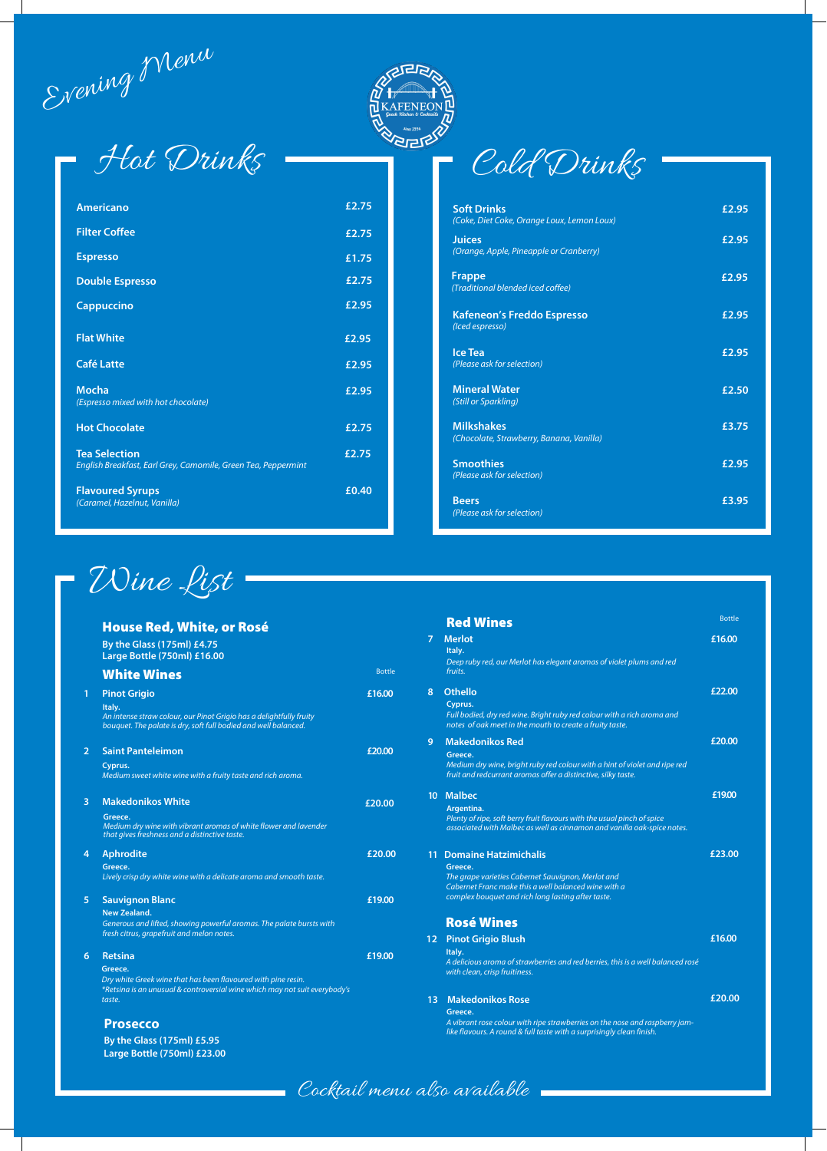Wine List



### that gives freshness and a distinctive taste.

# **5 £19.00**

## **New Zealand.**

Generous and lifted, showing powerful aromas. The palate bursts with fresh citrus, grapefruit and melon notes.

# Rosé Wines

12 Pinot Grigio Blush

# **£16.00**

# **Italy.**  A delicious aroma of strawberries and red berries, this is a well balanced rosé with clean, crisp fruitiness.

# 13 Makedonikos Rose

# **£20.00**

### **Greece.**

A vibrant rose colour with ripe strawberries on the nose and raspberry jamlike flavours. A round & full taste with a surprisingly clean finish.

### **4 £20.00 Greece.**  Lively crisp dry white wine with a delicate aroma and smooth taste. **1 £23.00 Greece.**

|                | <b>House Red, White, or Rosé</b><br>By the Glass (175ml) £4.75                                                                                                          |               |
|----------------|-------------------------------------------------------------------------------------------------------------------------------------------------------------------------|---------------|
|                | Large Bottle (750ml) £16.00                                                                                                                                             |               |
|                | <b>White Wines</b>                                                                                                                                                      | <b>Bottle</b> |
| 1              | <b>Pinot Grigio</b><br>Italy.<br>An intense straw colour, our Pinot Grigio has a delightfully fruity<br>bouquet. The palate is dry, soft full bodied and well balanced. | £16.00        |
| $\overline{2}$ | <b>Saint Panteleimon</b><br>Cyprus.<br>Medium sweet white wine with a fruity taste and rich aroma.                                                                      | £20.00        |
| 3              | <b>Makedonikos White</b><br>Greece.<br>Medium dry wine with vibrant aromas of white flower and lavender                                                                 | £20.00        |

# The grape varieties Cabernet Sauvignon, Merlot and Cabernet Franc make this a well balanced wine with a complex bouquet and rich long lasting after taste.

|   | <b>Red Wines</b>                                                                                                                                       | <b>Bottle</b> |
|---|--------------------------------------------------------------------------------------------------------------------------------------------------------|---------------|
|   | <b>Merlot</b><br>Italy.                                                                                                                                | £16.00        |
|   | Deep ruby red, our Merlot has elegant aromas of violet plums and red<br>fruits.                                                                        |               |
|   | <b>Othello</b>                                                                                                                                         | £22.00        |
|   | Cyprus.<br>Full bodied, dry red wine. Bright ruby red colour with a rich aroma and<br>notes of oak meet in the mouth to create a fruity taste.         |               |
|   | <b>Makedonikos Red</b>                                                                                                                                 | £20.00        |
|   | Greece.<br>Medium dry wine, bright ruby red colour with a hint of violet and ripe red<br>fruit and redcurrant aromas offer a distinctive, silky taste. |               |
| 0 | <b>Malbec</b>                                                                                                                                          | £19.00        |
|   | Argentina.                                                                                                                                             |               |
|   | Plenty of ripe, soft berry fruit flavours with the usual pinch of spice<br>associated with Malbec as well as cinnamon and vanilla oak-spice notes.     |               |

| <b>Americano</b>                                                                      | £2.75 |
|---------------------------------------------------------------------------------------|-------|
| <b>Filter Coffee</b>                                                                  | £2.75 |
| <b>Espresso</b>                                                                       | £1.75 |
| <b>Double Espresso</b>                                                                | £2.75 |
| <b>Cappuccino</b>                                                                     | £2.95 |
| <b>Flat White</b>                                                                     | £2.95 |
| <b>Café Latte</b>                                                                     | £2.95 |
| <b>Mocha</b><br>(Espresso mixed with hot chocolate)                                   | £2.95 |
| <b>Hot Chocolate</b>                                                                  | £2.75 |
| <b>Tea Selection</b><br>English Breakfast, Earl Grey, Camomile, Green Tea, Peppermint | £2.75 |
| <b>Flavoured Syrups</b><br>(Caramel, Hazelnut, Vanilla)                               | £0.40 |

| Cold Drinks |  |
|-------------|--|
|             |  |
|             |  |
|             |  |

| <b>Soft Drinks</b><br>(Coke, Diet Coke, Orange Loux, Lemon Loux) | £2.95 |
|------------------------------------------------------------------|-------|
| <b>Juices</b><br>(Orange, Apple, Pineapple or Cranberry)         | £2.95 |
| <b>Frappe</b><br>(Traditional blended iced coffee)               | £2.95 |
| <b>Kafeneon's Freddo Espresso</b><br>(Iced espresso)             | £2.95 |
| <b>Ice Tea</b><br>(Please ask for selection)                     | £2.95 |
| <b>Mineral Water</b><br>(Still or Sparkling)                     | £2.50 |
| <b>Milkshakes</b><br>(Chocolate, Strawberry, Banana, Vanilla)    | £3.75 |
| <b>Smoothies</b><br>(Please ask for selection)                   | £2.95 |
| <b>Beers</b><br>(Please ask for selection)                       | £3.95 |

# **6** b **Retsina**

### **Greece.**

Dry white Greek wine that has been flavoured with pine resin. \*Retsina is an unusual & controversial wine which may not suit everybody's taste.

**£19.00**

# **Prosecco**

**By the Glass (175ml) £5.95 Large Bottle (750ml) £23.00**

Evening Menu



# Hot Drinks